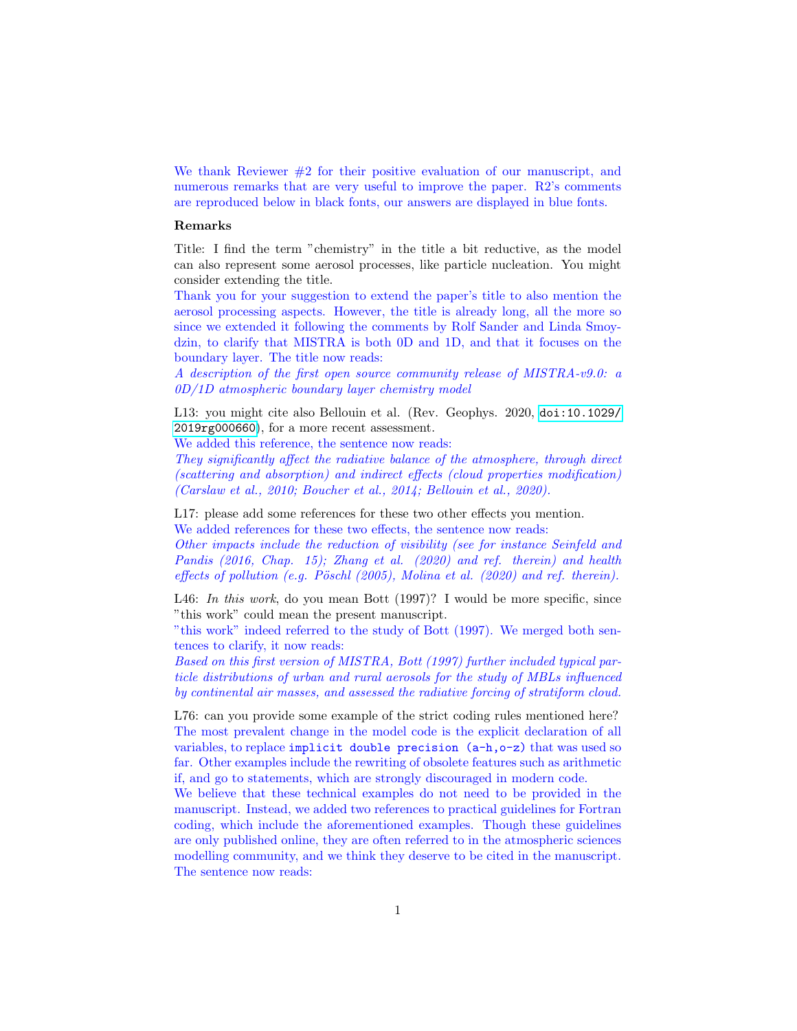We thank Reviewer #2 for their positive evaluation of our manuscript, and numerous remarks that are very useful to improve the paper. R2's comments are reproduced below in black fonts, our answers are displayed in blue fonts.

## Remarks

Title: I find the term "chemistry" in the title a bit reductive, as the model can also represent some aerosol processes, like particle nucleation. You might consider extending the title.

Thank you for your suggestion to extend the paper's title to also mention the aerosol processing aspects. However, the title is already long, all the more so since we extended it following the comments by Rolf Sander and Linda Smoydzin, to clarify that MISTRA is both 0D and 1D, and that it focuses on the boundary layer. The title now reads:

A description of the first open source community release of MISTRA-v9.0: a 0D/1D atmospheric boundary layer chemistry model

L13: you might cite also Bellouin et al. (Rev. Geophys. 2020, [doi:10.1029/](doi:10.1029/2019rg000660) [2019rg000660](doi:10.1029/2019rg000660)), for a more recent assessment.

We added this reference, the sentence now reads:

They significantly affect the radiative balance of the atmosphere, through direct (scattering and absorption) and indirect effects (cloud properties modification) (Carslaw et al., 2010; Boucher et al., 2014; Bellouin et al., 2020).

L17: please add some references for these two other effects you mention. We added references for these two effects, the sentence now reads:

Other impacts include the reduction of visibility (see for instance Seinfeld and Pandis (2016, Chap. 15); Zhang et al. (2020) and ref. therein) and health effects of pollution (e.g. Pöschl  $(2005)$ , Molina et al.  $(2020)$  and ref. therein).

L46: In this work, do you mean Bott (1997)? I would be more specific, since "this work" could mean the present manuscript.

"this work" indeed referred to the study of Bott (1997). We merged both sentences to clarify, it now reads:

Based on this first version of MISTRA, Bott (1997) further included typical particle distributions of urban and rural aerosols for the study of MBLs influenced by continental air masses, and assessed the radiative forcing of stratiform cloud.

L76: can you provide some example of the strict coding rules mentioned here? The most prevalent change in the model code is the explicit declaration of all variables, to replace implicit double precision (a-h,o-z) that was used so far. Other examples include the rewriting of obsolete features such as arithmetic if, and go to statements, which are strongly discouraged in modern code.

We believe that these technical examples do not need to be provided in the manuscript. Instead, we added two references to practical guidelines for Fortran coding, which include the aforementioned examples. Though these guidelines are only published online, they are often referred to in the atmospheric sciences modelling community, and we think they deserve to be cited in the manuscript. The sentence now reads: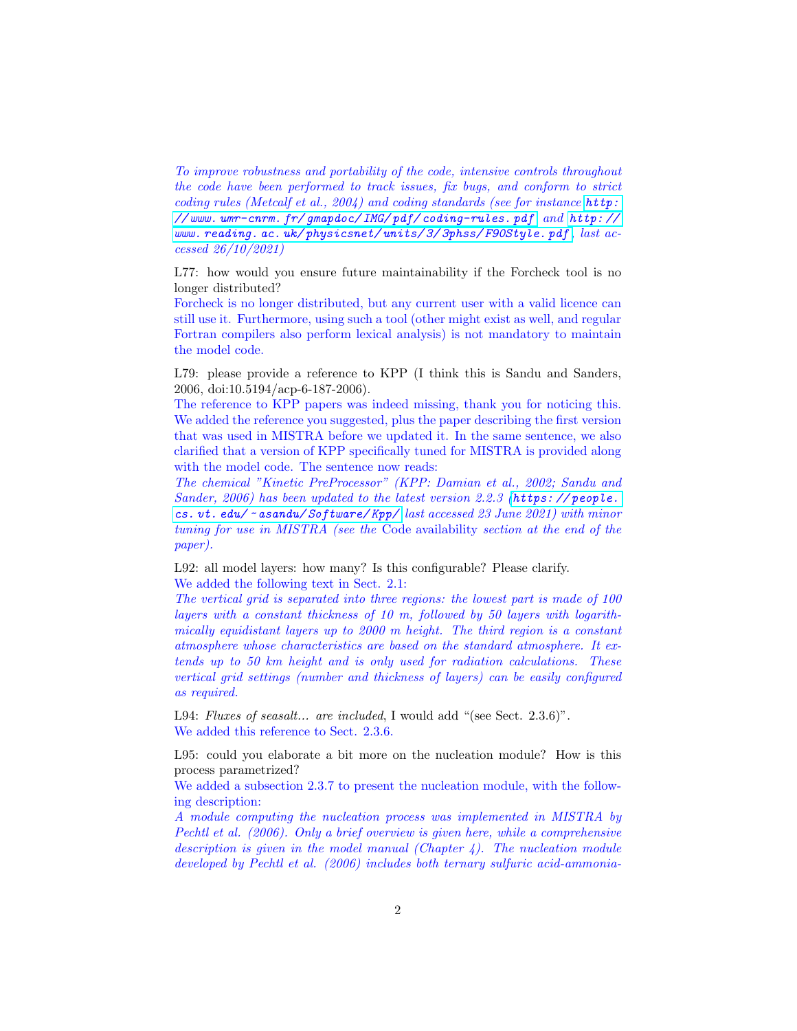To improve robustness and portability of the code, intensive controls throughout the code have been performed to track issues, fix bugs, and conform to strict coding rules (Metcalf et al., 2004) and coding standards (see for instance [http:](http://www.umr-cnrm.fr/gmapdoc/IMG/pdf/coding-rules.pdf) [// www. umr-cnrm. fr/ gmapdoc/ IMG/ pdf/ coding-rules. pdf](http://www.umr-cnrm.fr/gmapdoc/IMG/pdf/coding-rules.pdf) and [http: //](http://www.reading.ac.uk/physicsnet/units/3/3phss/F90Style.pdf) [www. reading. ac. uk/ physicsnet/ units/ 3/ 3phss/ F90Style. pdf](http://www.reading.ac.uk/physicsnet/units/3/3phss/F90Style.pdf) , last accessed 26/10/2021)

L77: how would you ensure future maintainability if the Forcheck tool is no longer distributed?

Forcheck is no longer distributed, but any current user with a valid licence can still use it. Furthermore, using such a tool (other might exist as well, and regular Fortran compilers also perform lexical analysis) is not mandatory to maintain the model code.

L79: please provide a reference to KPP (I think this is Sandu and Sanders, 2006, doi:10.5194/acp-6-187-2006).

The reference to KPP papers was indeed missing, thank you for noticing this. We added the reference you suggested, plus the paper describing the first version that was used in MISTRA before we updated it. In the same sentence, we also clarified that a version of KPP specifically tuned for MISTRA is provided along with the model code. The sentence now reads:

The chemical "Kinetic PreProcessor" (KPP: Damian et al., 2002; Sandu and Sander, 2006) has been updated to the latest version 2.2.3 ([https: // people.](https://people.cs.vt.edu/~asandu/Software/Kpp/) cs.  $vt.$  edu/  $\sim$  as andu/ Software/ Kpp/ last accessed 23 June 2021) with minor tuning for use in MISTRA (see the Code availability section at the end of the paper).

L92: all model layers: how many? Is this configurable? Please clarify. We added the following text in Sect. 2.1:

The vertical grid is separated into three regions: the lowest part is made of 100 layers with a constant thickness of 10 m, followed by 50 layers with logarithmically equidistant layers up to 2000 m height. The third region is a constant atmosphere whose characteristics are based on the standard atmosphere. It extends up to 50 km height and is only used for radiation calculations. These vertical grid settings (number and thickness of layers) can be easily configured as required.

L94: Fluxes of seasalt... are included, I would add "(see Sect. 2.3.6)". We added this reference to Sect. 2.3.6.

L95: could you elaborate a bit more on the nucleation module? How is this process parametrized?

We added a subsection 2.3.7 to present the nucleation module, with the following description:

A module computing the nucleation process was implemented in MISTRA by Pechtl et al. (2006). Only a brief overview is given here, while a comprehensive description is given in the model manual (Chapter 4). The nucleation module developed by Pechtl et al. (2006) includes both ternary sulfuric acid-ammonia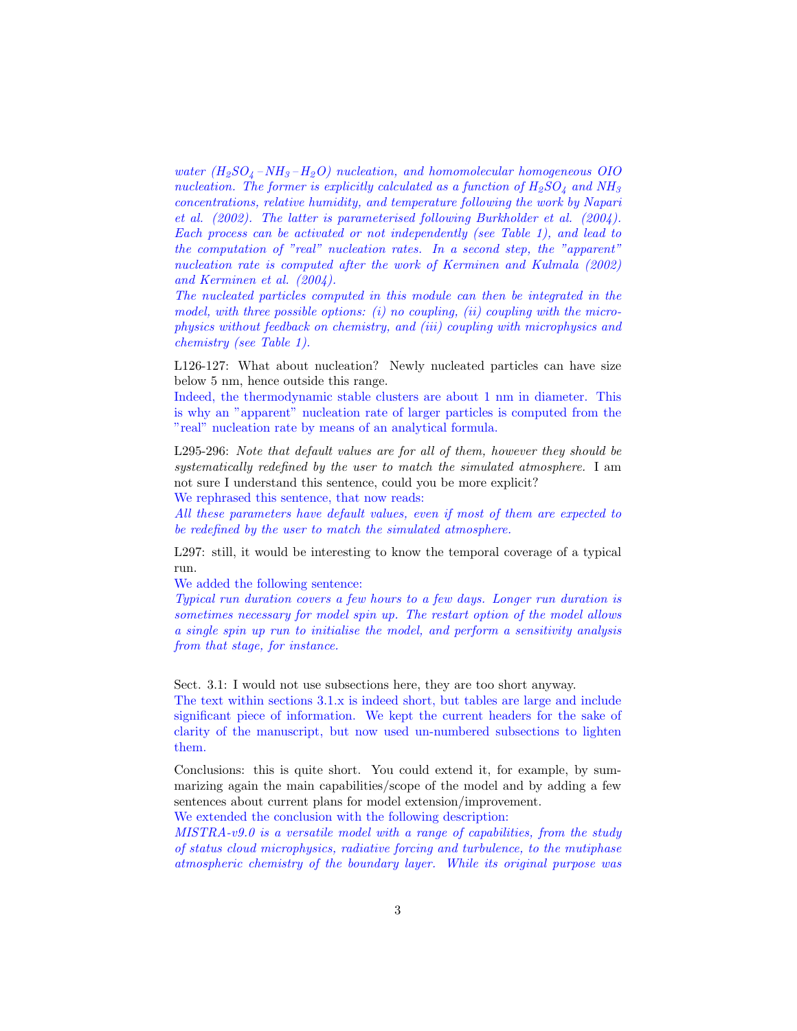water  $(H_2SO_4-NH_3-H_2O)$  nucleation, and homomolecular homogeneous OIO nucleation. The former is explicitly calculated as a function of  $H_2SO_4$  and  $NH_3$ concentrations, relative humidity, and temperature following the work by Napari et al. (2002). The latter is parameterised following Burkholder et al. (2004). Each process can be activated or not independently (see Table 1), and lead to the computation of "real" nucleation rates. In a second step, the "apparent" nucleation rate is computed after the work of Kerminen and Kulmala (2002) and Kerminen et al. (2004).

The nucleated particles computed in this module can then be integrated in the model, with three possible options:  $(i)$  no coupling,  $(ii)$  coupling with the microphysics without feedback on chemistry, and (iii) coupling with microphysics and chemistry (see Table 1).

L126-127: What about nucleation? Newly nucleated particles can have size below 5 nm, hence outside this range.

Indeed, the thermodynamic stable clusters are about 1 nm in diameter. This is why an "apparent" nucleation rate of larger particles is computed from the "real" nucleation rate by means of an analytical formula.

L295-296: Note that default values are for all of them, however they should be systematically redefined by the user to match the simulated atmosphere. I am not sure I understand this sentence, could you be more explicit?

We rephrased this sentence, that now reads:

All these parameters have default values, even if most of them are expected to be redefined by the user to match the simulated atmosphere.

L297: still, it would be interesting to know the temporal coverage of a typical run.

We added the following sentence:

Typical run duration covers a few hours to a few days. Longer run duration is sometimes necessary for model spin up. The restart option of the model allows a single spin up run to initialise the model, and perform a sensitivity analysis from that stage, for instance.

Sect. 3.1: I would not use subsections here, they are too short anyway.

The text within sections 3.1.x is indeed short, but tables are large and include significant piece of information. We kept the current headers for the sake of clarity of the manuscript, but now used un-numbered subsections to lighten them.

Conclusions: this is quite short. You could extend it, for example, by summarizing again the main capabilities/scope of the model and by adding a few sentences about current plans for model extension/improvement.

We extended the conclusion with the following description:

 $MISTRA-v9.0$  is a versatile model with a range of capabilities, from the study of status cloud microphysics, radiative forcing and turbulence, to the mutiphase atmospheric chemistry of the boundary layer. While its original purpose was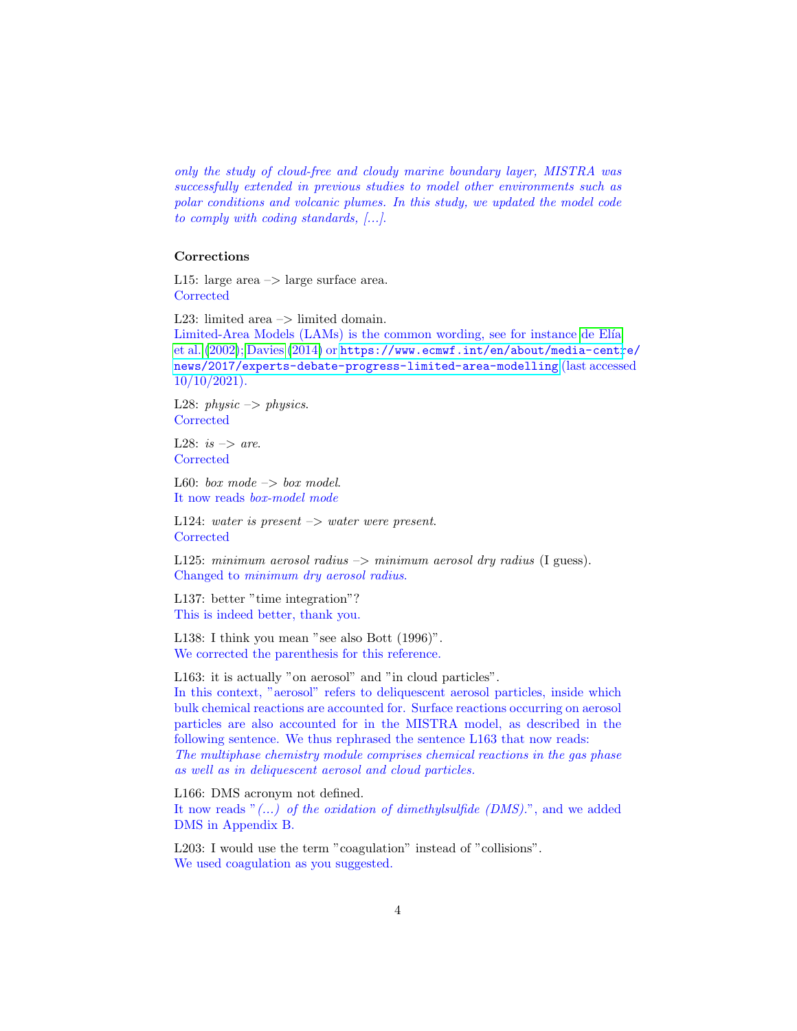only the study of cloud-free and cloudy marine boundary layer, MISTRA was successfully extended in previous studies to model other environments such as polar conditions and volcanic plumes. In this study, we updated the model code to comply with coding standards, [...].

## Corrections

L15: large area  $\rightarrow$  large surface area. **Corrected** 

L23: limited area  $\rightarrow$  limited domain.

Limited-Area Models (LAMs) is the common wording, see for instance de Elía [et al.](#page-4-0) [\(2002\)](#page-4-0); [Davies](#page-4-1) [\(2014\)](#page-4-1) or [https://www.ecmwf.int/en/about/media-centr](https://www.ecmwf.int/en/about/media-centre/news/2017/experts-debate-progress-limited-area-modelling)e/ [news/2017/experts-debate-progress-limited-area-modelling](https://www.ecmwf.int/en/about/media-centre/news/2017/experts-debate-progress-limited-area-modelling) (last accessed 10/10/2021).

L28: physic  $\rightarrow$  physics. **Corrected** 

L28: is  $\Rightarrow$  are. **Corrected** 

L60: box mode  $\rightarrow$  box model. It now reads box-model mode

L124: water is present  $\rightarrow$  water were present. **Corrected** 

L125: minimum aerosol radius  $\rightarrow$  minimum aerosol dry radius (I guess). Changed to minimum dry aerosol radius.

L137: better "time integration"? This is indeed better, thank you.

L138: I think you mean "see also Bott (1996)". We corrected the parenthesis for this reference.

L163: it is actually "on aerosol" and "in cloud particles". In this context, "aerosol" refers to deliquescent aerosol particles, inside which bulk chemical reactions are accounted for. Surface reactions occurring on aerosol particles are also accounted for in the MISTRA model, as described in the following sentence. We thus rephrased the sentence L163 that now reads: The multiphase chemistry module comprises chemical reactions in the gas phase as well as in deliquescent aerosol and cloud particles.

L166: DMS acronym not defined. It now reads " $(...)$  of the oxidation of dimethylsulfide (DMS).", and we added DMS in Appendix B.

L203: I would use the term "coagulation" instead of "collisions". We used coagulation as you suggested.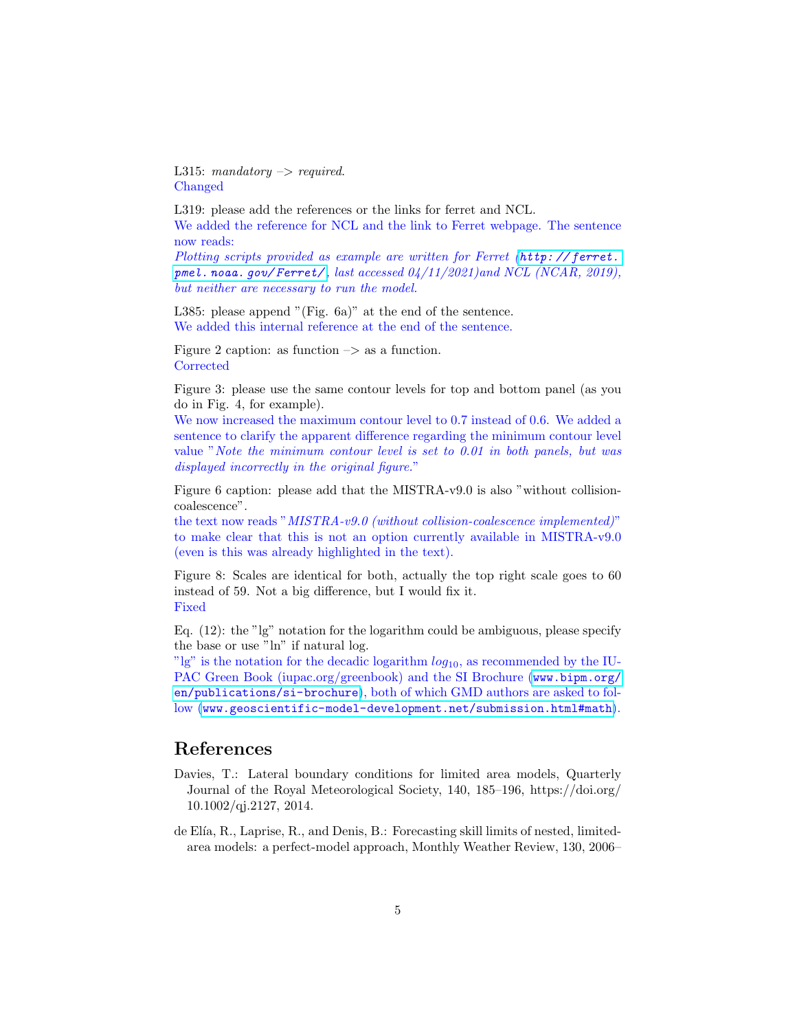L315: mandatory  $\rightarrow$  required. Changed

L319: please add the references or the links for ferret and NCL. We added the reference for NCL and the link to Ferret webpage. The sentence now reads:

Plotting scripts provided as example are written for Ferret (http://ferret. pmel. noaa.  $qov/Ferret/$ , last accessed  $04/11/2021$ )and NCL (NCAR, 2019), but neither are necessary to run the model.

L385: please append "(Fig. 6a)" at the end of the sentence. We added this internal reference at the end of the sentence.

Figure 2 caption: as function  $\Rightarrow$  as a function. **Corrected** 

Figure 3: please use the same contour levels for top and bottom panel (as you do in Fig. 4, for example).

We now increased the maximum contour level to 0.7 instead of 0.6. We added a sentence to clarify the apparent difference regarding the minimum contour level value "Note the minimum contour level is set to 0.01 in both panels, but was displayed incorrectly in the original figure."

Figure 6 caption: please add that the MISTRA-v9.0 is also "without collisioncoalescence".

the text now reads "MISTRA-v9.0 (without collision-coalescence implemented)" to make clear that this is not an option currently available in MISTRA-v9.0 (even is this was already highlighted in the text).

Figure 8: Scales are identical for both, actually the top right scale goes to 60 instead of 59. Not a big difference, but I would fix it. Fixed

Eq. (12): the "lg" notation for the logarithm could be ambiguous, please specify the base or use "ln" if natural log.

"lg" is the notation for the decadic logarithm  $log_{10}$ , as recommended by the IUPAC Green Book (iupac.org/greenbook) and the SI Brochure ([www.bipm.org/](www.bipm.org/en/publications/si-brochure) [en/publications/si-brochure](www.bipm.org/en/publications/si-brochure)), both of which GMD authors are asked to follow ([www.geoscientific-model-development.net/submission.html#math](www.geoscientific-model-development.net/submission.html##math)).

## References

- <span id="page-4-1"></span>Davies, T.: Lateral boundary conditions for limited area models, Quarterly Journal of the Royal Meteorological Society, 140, 185–196, https://doi.org/ 10.1002/qj.2127, 2014.
- <span id="page-4-0"></span>de Elía, R., Laprise, R., and Denis, B.: Forecasting skill limits of nested, limitedarea models: a perfect-model approach, Monthly Weather Review, 130, 2006–